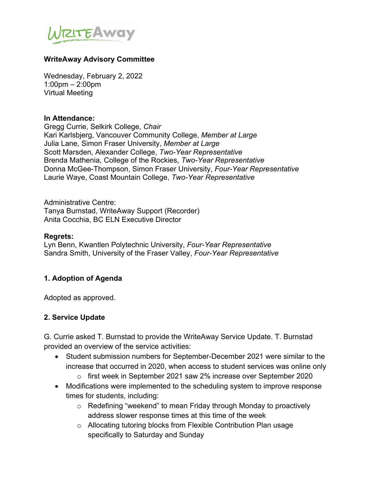

#### **WriteAway Advisory Committee**

Wednesday, February 2, 2022 1:00pm – 2:00pm Virtual Meeting

#### **In Attendance:**

Gregg Currie, Selkirk College, *Chair* Kari Karlsbjerg, Vancouver Community College, *Member at Large* Julia Lane, Simon Fraser University, *Member at Large* Scott Marsden, Alexander College, *Two-Year Representative* Brenda Mathenia, College of the Rockies, *Two-Year Representative* Donna McGee-Thompson, Simon Fraser University, *Four-Year Representative* Laurie Waye, Coast Mountain College, *Two-Year Representative*

Administrative Centre: Tanya Burnstad, WriteAway Support (Recorder) Anita Cocchia, BC ELN Executive Director

#### **Regrets:**

Lyn Benn, Kwantlen Polytechnic University, *Four-Year Representative* Sandra Smith, University of the Fraser Valley, *Four-Year Representative*

#### **1. Adoption of Agenda**

Adopted as approved.

#### **2. Service Update**

G. Currie asked T. Burnstad to provide the WriteAway Service Update. T. Burnstad provided an overview of the service activities:

- Student submission numbers for September-December 2021 were similar to the increase that occurred in 2020, when access to student services was online only
	- o first week in September 2021 saw 2% increase over September 2020
- Modifications were implemented to the scheduling system to improve response times for students, including:
	- o Redefining "weekend" to mean Friday through Monday to proactively address slower response times at this time of the week
	- o Allocating tutoring blocks from Flexible Contribution Plan usage specifically to Saturday and Sunday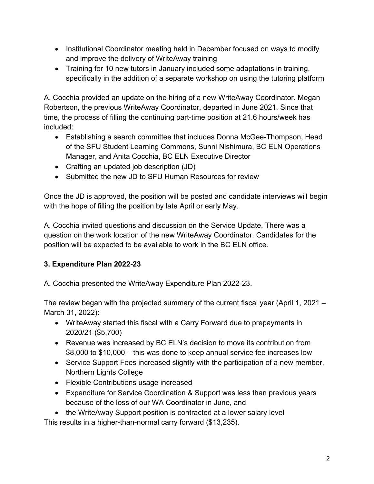- Institutional Coordinator meeting held in December focused on ways to modify and improve the delivery of WriteAway training
- Training for 10 new tutors in January included some adaptations in training, specifically in the addition of a separate workshop on using the tutoring platform

A. Cocchia provided an update on the hiring of a new WriteAway Coordinator. Megan Robertson, the previous WriteAway Coordinator, departed in June 2021. Since that time, the process of filling the continuing part-time position at 21.6 hours/week has included:

- Establishing a search committee that includes Donna McGee-Thompson, Head of the SFU Student Learning Commons, Sunni Nishimura, BC ELN Operations Manager, and Anita Cocchia, BC ELN Executive Director
- Crafting an updated job description (JD)
- Submitted the new JD to SFU Human Resources for review

Once the JD is approved, the position will be posted and candidate interviews will begin with the hope of filling the position by late April or early May.

A. Cocchia invited questions and discussion on the Service Update. There was a question on the work location of the new WriteAway Coordinator. Candidates for the position will be expected to be available to work in the BC ELN office.

# **3. Expenditure Plan 2022-23**

A. Cocchia presented the WriteAway Expenditure Plan 2022-23.

The review began with the projected summary of the current fiscal year (April 1, 2021 – March 31, 2022):

- WriteAway started this fiscal with a Carry Forward due to prepayments in 2020/21 (\$5,700)
- Revenue was increased by BC ELN's decision to move its contribution from \$8,000 to \$10,000 – this was done to keep annual service fee increases low
- Service Support Fees increased slightly with the participation of a new member, Northern Lights College
- Flexible Contributions usage increased
- Expenditure for Service Coordination & Support was less than previous years because of the loss of our WA Coordinator in June, and
- the WriteAway Support position is contracted at a lower salary level

This results in a higher-than-normal carry forward (\$13,235).